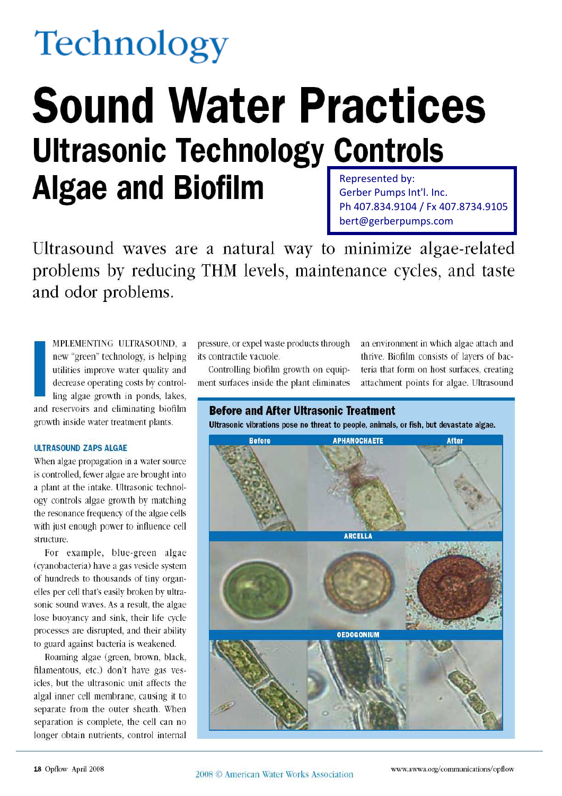# **Technology**

## **Sound Water Practices Ultrasonic Technology Controls Algae and Biofilm** Represented by: Gerber Pumps Int'l. Inc.

Ph 407.834.9104 / Fx 407.8734.9105 bert@gerberpumps.com

Ultrasound waves are a natural way to minimize algae-related problems by reducing THM levels, maintenance cycles, and taste and odor problems.

MPLEMENTING ULTRASOUND, a new "green" technology, is helping utilities improve water quality and decrease operating costs by controlling algae growth in ponds, lakes, and reservoirs and eliminating biofilm growth inside water treatment plants.

#### **ULTRASOUND ZAPS ALGAE**

When algae propagation in a water source is controlled, fewer algae are brought into a plant at the intake. Ultrasonic technology controls algae growth by matching the resonance frequency of the algae cells with just enough power to influence cell structure.

For example, blue-green algae (cyanobacteria) have a gas vesicle system of hundreds to thousands of tiny organelles per cell that's easily broken by ultrasonic sound waves. As a result, the algae lose buoyancy and sink, their life cycle processes are disrupted, and their ability to guard against bacteria is weakened.

Roaming algae (green, brown, black, filamentous, etc.) don't have gas vesicles, but the ultrasonic unit affects the algal inner cell membrane, causing it to separate from the outer sheath. When separation is complete, the cell can no longer obtain nutrients, control internal

pressure, or expel waste products through its contractile vacuole.

Controlling biofilm growth on equipment surfaces inside the plant eliminates an environment in which algae attach and thrive. Biofilm consists of layers of bacteria that form on host surfaces, creating attachment points for algae. Ultrasound

## **Before and After Ultrasonic Treatment**

Ultrasonic vibrations pose no threat to people, animals, or fish, but devastate algae.

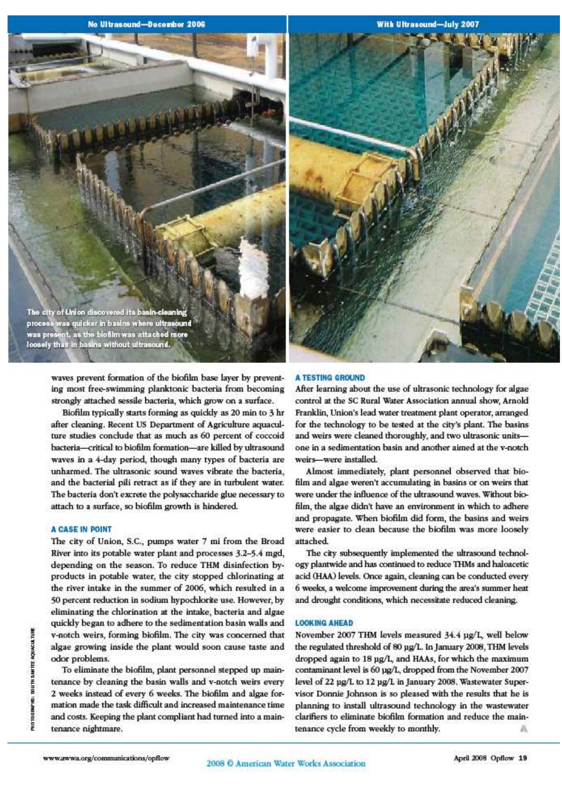No Ultrasound-December 2006

**With Ultrasound-July 2007** 

The city of Union discovered its basin-cleanin process was quicker in basins where ultrasound<br>was present, as the biofilm was attached more<br>loosely than in basins without ultrasound.

> waves prevent formation of the biofilm base layer by preventing most free-swimming planktonic bacteria from becoming strongly attached sessile bacteria, which grow on a surface.

> Biofilm typically starts forming as quickly as 20 min to 3 hr after cleaning. Recent US Department of Agriculture aquaculture studies conclude that as much as 60 percent of coccoid bacteria-critical to biofilm formation-are killed by ultrasound waves in a 4-day period, though many types of bacteria are unharmed. The ultrasonic sound waves vibrate the bacteria, and the bacterial pili retract as if they are in turbulent water. The bacteria don't excrete the polysaccharide glue necessary to attach to a surface, so biofilm growth is hindered.

#### **A CASE IN POINT**

The city of Union, S.C., pumps water 7 mi from the Broad River into its potable water plant and processes 3.2-5.4 mgd, depending on the season. To reduce THM disinfection byproducts in potable water, the city stopped chlorinating at the river intake in the summer of 2006, which resulted in a 50 percent reduction in sodium hypochlorite use. However, by eliminating the chlorination at the intake, bacteria and algae quickly began to adhere to the sedimentation basin walls and v-notch weirs, forming biofilm. The city was concerned that algae growing inside the plant would soon cause taste and odor problems.

To eliminate the biofilm, plant personnel stepped up maintenance by cleaning the basin walls and v-notch weirs every 2 weeks instead of every 6 weeks. The biofilm and algae formation made the task difficult and increased maintenance time and costs. Keeping the plant compliant had turned into a maintenance nightmare.



#### **A TESTING GROUND**

After learning about the use of ultrasonic technology for algae control at the SC Rural Water Association annual show, Arnold Franklin, Union's lead water treatment plant operator, arranged for the technology to be tested at the city's plant. The basins and weirs were cleaned thoroughly, and two ultrasonic unitsone in a sedimentation basin and another aimed at the v-notch weirs-were installed.

Almost immediately, plant personnel observed that biofilm and algae weren't accumulating in basins or on weirs that were under the influence of the ultrasound waves. Without biofilm, the algae didn't have an environment in which to adhere and propagate. When biofilm did form, the basins and weirs were easier to clean because the biofilm was more loosely attached.

The city subsequently implemented the ultrasound technology plantwide and has continued to reduce THMs and haloacetic acid (HAA) levels. Once again, cleaning can be conducted every 6 weeks, a welcome improvement during the area's summer heat and drought conditions, which necessitate reduced cleaning.

#### **LOOKING AHEAD**

November 2007 THM levels measured 34.4 µg/L, well below the regulated threshold of 80 µg/L. In January 2008, THM levels dropped again to 18 ug/L and HAAs, for which the maximum contaminant level is 60 µg/L, dropped from the November 2007 level of 22 ug/L to 12 ug/L in January 2008. Wastewater Supervisor Donnie Johnson is so pleased with the results that he is planning to install ultrasound technology in the wastewater clarifiers to eliminate biofilm formation and reduce the maintenance cycle from weekly to monthly. BK.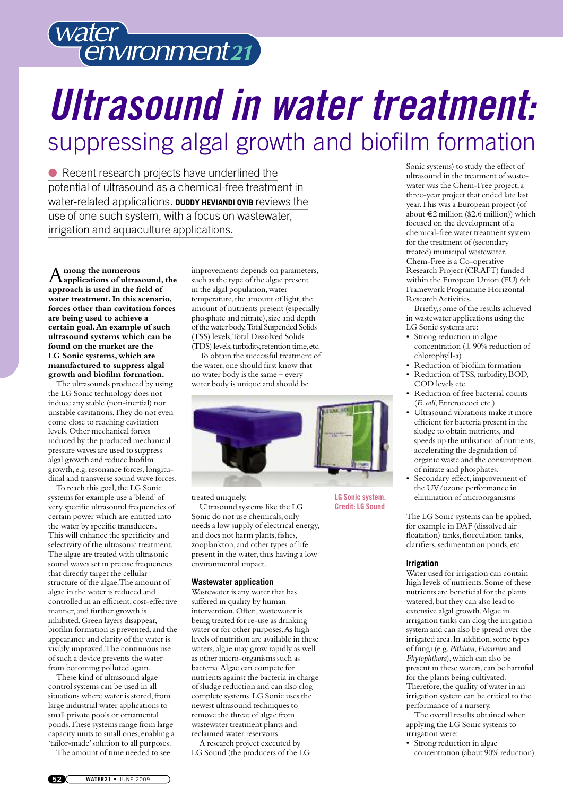

## *Ultrasound in water treatment:* suppressing algal growth and biofilm formation

● Recent research projects have underlined the potential of ultrasound as a chemical-free treatment in water-related applications. **DUDDY HEVIANDI OYIB** reviews the use of one such system, with a focus on wastewater, irrigation and aquaculture applications.

A**mong the numerous applications of ultrasound,the approach is used in the field of water treatment.In this scenario, forces other than cavitation forces are being used to achieve a certain goal.An example of such ultrasound systems which can be found on the market are the LG Sonic systems, which are manufactured to suppress algal growth and biofilm formation.**

The ultrasounds produced by using the LG Sonic technology does not induce any stable (non-inertial) nor unstable cavitations.They do not even come close to reaching cavitation levels.Other mechanical forces induced by the produced mechanical pressure waves are used to suppress algal growth and reduce biofilm growth, e.g.resonance forces,longitudinal and transverse sound wave forces.

To reach this goal, the LG Sonic systems for example use a'blend'of very specific ultrasound frequencies of certain power which are emitted into the water by specific transducers. This will enhance the specificity and selectivity of the ultrasonic treatment. The algae are treated with ultrasonic sound waves set in precise frequencies that directly target the cellular structure of the algae.The amount of algae in the water is reduced and controlled in an efficient, cost-effective manner, and further growth is inhibited.Green layers disappear, biofilm formation is prevented,and the appearance and clarity of the water is visibly improved.The continuous use of such a device prevents the water from becoming polluted again.

These kind of ultrasound algae control systems can be used in all situations where water is stored, from large industrial water applications to small private pools or ornamental ponds.These systems range from large capacity units to small ones, enabling a 'tailor-made'solution to all purposes.

The amount of time needed to see

improvements depends on parameters, such as the type of the algae present in the algal population, water temperature, the amount of light, the amount of nutrients present (especially phosphate and nitrate), size and depth of the water body,Total Suspended Solids (TSS) levels,Total Dissolved Solids (TDS) levels, turbidity, retention time, etc.

To obtain the successful treatment of the water,one should first know that no water body is the same – every water body is unique and should be



treated uniquely.

Ultrasound systems like the LG Sonic do not use chemicals, only needs a low supply of electrical energy, and does not harm plants, fishes, zooplankton,and other types of life present in the water, thus having a low environmental impact.

#### **Wastewater application**

Wastewater is any water that has suffered in quality by human intervention.Often,wastewater is being treated for re-use as drinking water or for other purposes.As high levels of nutrition are available in these waters,algae may grow rapidly as well as other micro-organisms such as bacteria.Algae can compete for nutrients against the bacteria in charge of sludge reduction and can also clog complete systems.LG Sonic uses the newest ultrasound techniques to remove the threat of algae from wastewater treatment plants and reclaimed water reservoirs.

A research project executed by LG Sound (the producers of the LG Sonic systems) to study the effect of ultrasound in the treatment of wastewater was the Chem-Free project,a three-year project that ended late last year.This was a European project (of about  $\epsilon$ 2 million (\$2.6 million)) which focused on the development of a chemical-free water treatment system for the treatment of (secondary treated) municipal wastewater. Chem-Free is a Co-operative Research Project (CRAFT) funded within the European Union (EU) 6th Framework Programme Horizontal ResearchActivities.

Briefly,some of the results achieved in wastewater applications using the LG Sonic systems are:

- Strong reduction in algae concentration (± 90% reduction of chlorophyll-a)
- Reduction of biofilm formation
- Reduction of TSS, turbidity, BOD, COD levels etc.
- Reduction of free bacterial counts (*E.coli*,Enteroccoci etc.)
- Ultrasound vibrations make it more efficient for bacteria present in the sludge to obtain nutrients, and speeds up the utilisation of nutrients, accelerating the degradation of organic waste and the consumption of nitrate and phosphates.
- Secondary effect, improvement of the UV/ozone performance in elimination of microorganisms

The LG Sonic systems can be applied, for example in DAF (dissolved air floatation) tanks, flocculation tanks, clarifiers, sedimentation ponds, etc.

#### **Irrigation**

**LG Sonic system. Credit:LG Sound**

> Water used for irrigation can contain high levels of nutrients.Some of these nutrients are beneficial for the plants watered, but they can also lead to extensive algal growth.Algae in irrigation tanks can clog the irrigation system and can also be spread over the irrigated area.In addition,some types of fungi (e.g.*Pithium*,*Fusarium* and *Phytophthora*), which can also be present in these waters, can be harmful for the plants being cultivated. Therefore, the quality of water in an irrigation system can be critical to the performance of a nursery.

The overall results obtained when applying the LG Sonic systems to irrigation were:

• Strong reduction in algae concentration (about 90% reduction)

**052 WATER21 •** JUNE 2009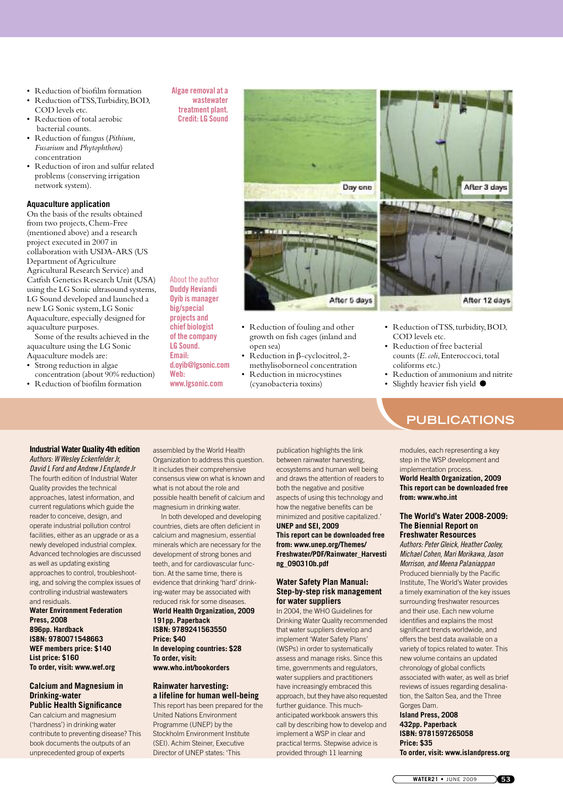- Reduction of biofilm formation
- Reduction ofTSS,Turbidity,BOD, COD levels etc.
- Reduction of total aerobic bacterial counts.
- Reduction of fungus (*Pithium*, *Fusarium* and *Phytophthora*) concentration
- Reduction of iron and sulfur related problems (conserving irrigation network system).

#### **Aquaculture application**

On the basis of the results obtained from two projects,Chem-Free (mentioned above) and a research project executed in 2007 in collaboration with USDA-ARS (US Department ofAgriculture Agricultural Research Service) and Catfish Genetics Research Unit (USA) using the LG Sonic ultrasound systems, LG Sound developed and launched a new LG Sonic system,LG Sonic Aquaculture, especially designed for aquaculture purposes.

Some of the results achieved in the aquaculture using the LG Sonic Aquaculture models are:

- Strong reduction in algae concentration (about 90% reduction)
- Reduction of biofilm formation

#### **Algae removal at a wastewater treatment plant.**

**Credit:LG Sound**

About the author **Duddy Heviandi Oyib is manager big/special projects and chief biologist of the company LG Sound. Email:**

**d.oyib@lgsonic.com**

**www.lgsonic.com**

**Web:**



• Reduction of fouling and other growth on fish cages (inland and

- open sea) • Reduction in β-cyclocitrol,2-
- methylisoborneol concentration • Reduction in microcystines
- (cyanobacteria toxins)



- Reduction of TSS, turbidity, BOD, COD levels etc.
- Reduction of free bacterial counts (*E. coli*, Enteroccoci, total coliforms etc.)
- Reduction of ammonium and nitrite
- Slightly heavier fish yield  $\bullet$

## **PUBLICATIONS**

#### **Industrial Water Quality 4th edition** *Authors: W Wesley Eckenfelder Jr,*

*David LFord and Andrew J EnglandeJr* The fourth edition of Industrial Water Quality provides the technical approaches, latest information, and current regulations which guide the reader to conceive, design, and operate industrial pollution control facilities, either as an upgrade or as a newly developed industrial complex. Advanced technologies are discussed as well as updating existing approaches to control, troubleshooting, and solving the complex issues of controlling industrial wastewaters and residuals.

#### **Water Environment Federation Press, 2008 896pp. Hardback ISBN: 9780071548663 WEF members price: \$140 List price: \$160 To order, visit: www.wef.org**

#### **Calcium and Magnesium in Drinking-water Public Health Significance**

Can calcium and magnesium ('hardness') in drinking water contribute to preventing disease? This book documents the outputs of an unprecedented group of experts

assembled by the World Health Organization to address this question. It includes their comprehensive consensus view on what is known and what is not about the role and possible health benefit of calcium and magnesium in drinking water.

In both developed and developing countries, diets are often deficient in calcium and magnesium, essential minerals which are necessary for the development of strong bones and teeth, and for cardiovascular function. At the same time, there is evidence that drinking 'hard' drinking-water may be associated with reduced risk for some diseases.

#### **World Health Organization, 2009 191pp. Paperback ISBN: 9789241563550 Price: \$40 In developing countries: \$28 To order, visit: www.who.int/bookorders**

#### **Rainwater harvesting: a lifeline for human well-being**

This report has been prepared for the United Nations Environment Programme (UNEP) by the Stockholm Environment Institute (SEI). Achim Steiner, Executive Director of UNEP states: 'This

publication highlights the link between rainwater harvesting, ecosystems and human well being and draws the attention of readers to both the negative and positive aspects of using this technology and how the negative benefits can be minimized and positive capitalized.' **UNEP and SEI, 2009 This report can be downloaded free**

**from: www.unep.org/Themes/ Freshwater/PDF/Rainwater\_Harvesti ng\_090310b.pdf**

#### **Water Safety Plan Manual: Step-by-step risk management for water suppliers**

In 2004, the WHO Guidelines for Drinking Water Quality recommended that water suppliers develop and implement 'Water Safety Plans' (WSPs) in order to systematically assess and manage risks. Since this time, governments and regulators, water suppliers and practitioners have increasingly embraced this approach, but they have also requested further guidance. This muchanticipated workbook answers this call by describing how to develop and implement a WSP in clear and practical terms. Stepwise advice is provided through 11 learning

#### modules, each representing a key step in the WSP development and implementation process. **World Health Organization, 2009**

**This report can be downloaded free from: www.who.int**

#### **The World's Water 2008-2009: The Biennial Report on Freshwater Resources**

*Authors: Peter Gleick, Heather Cooley, Michael Cohen, Mari Morikawa, Jason Morrison, and Meena Palaniappan* Produced biennially by the Pacific Institute, The World's Water provides a timely examination of the key issues surrounding freshwater resources and their use. Each new volume identifies and explains the most significant trends worldwide, and offers the best data available on a variety of topics related to water. This new volume contains an updated chronology of global conflicts associated with water, as well as brief reviews of issues regarding desalination, the Salton Sea, and the Three Gorges Dam.

#### **Island Press, 2008 432pp. Paperback ISBN: 9781597265058 Price: \$35**

**To order, visit: www.islandpress.org**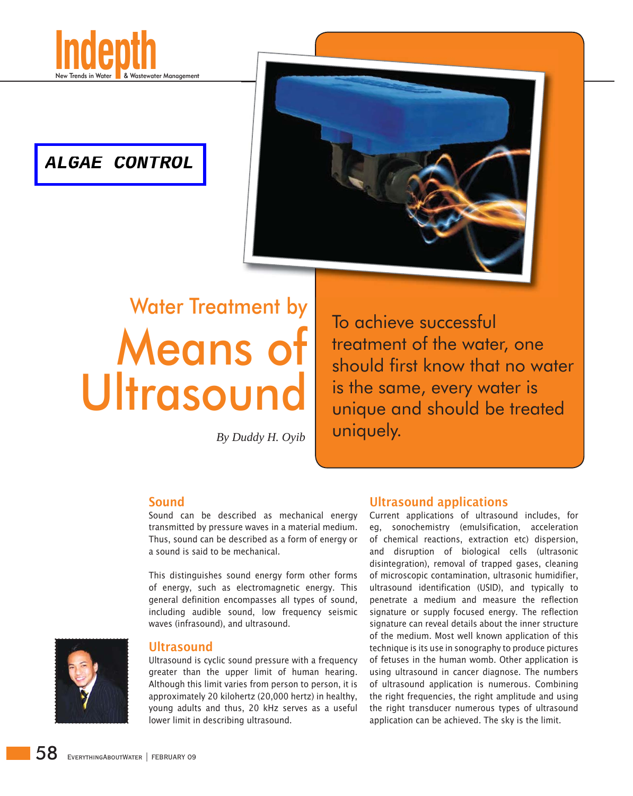

## **ALGAE CONTROL**



## Water Treatment by Means of **Ultrasound**

To achieve successful treatment of the water, one should first know that no water is the same, every water is unique and should be treated By Duddy H. Oyib **Uniquely.** 

## Sound

Sound can be described as mechanical energy transmitted by pressure waves in a material medium. Thus, sound can be described as a form of energy or a sound is said to be mechanical.

This distinguishes sound energy form other forms of energy, such as electromagnetic energy. This general definition encompasses all types of sound, including audible sound, low frequency seismic waves (infrasound), and ultrasound.



## **Ultrasound**

Ultrasound is cyclic sound pressure with a frequency greater than the upper limit of human hearing. Although this limit varies from person to person, it is approximately 20 kilohertz (20,000 hertz) in healthy, young adults and thus, 20 kHz serves as a useful lower limit in describing ultrasound.

## Ultrasound applications

Current applications of ultrasound includes, for eg, sonochemistry (emulsification, acceleration of chemical reactions, extraction etc) dispersion, and disruption of biological cells (ultrasonic disintegration), removal of trapped gases, cleaning of microscopic contamination, ultrasonic humidifier, ultrasound identification (USID), and typically to penetrate a medium and measure the reflection signature or supply focused energy. The reflection signature can reveal details about the inner structure of the medium. Most well known application of this technique is its use in sonography to produce pictures of fetuses in the human womb. Other application is using ultrasound in cancer diagnose. The numbers of ultrasound application is numerous. Combining the right frequencies, the right amplitude and using the right transducer numerous types of ultrasound application can be achieved. The sky is the limit.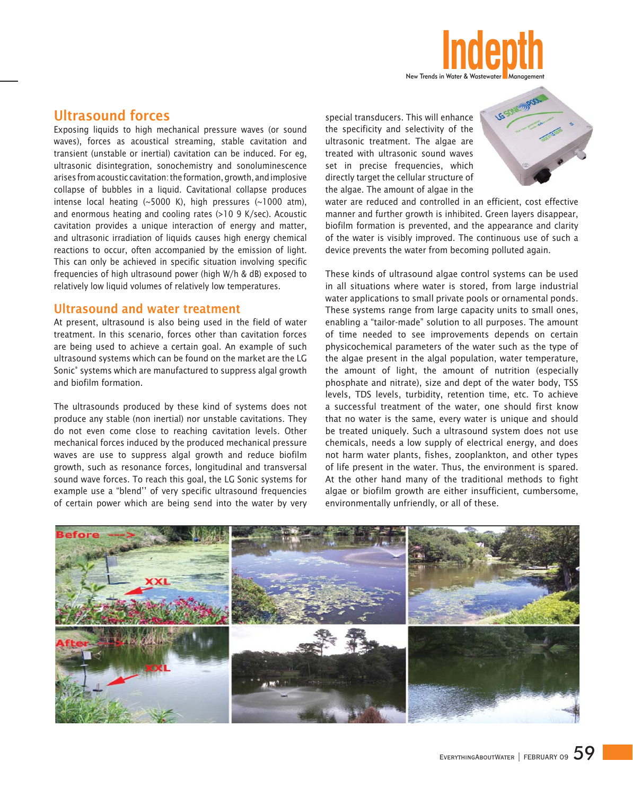

## Ultrasound forces

Exposing liquids to high mechanical pressure waves (or sound waves), forces as acoustical streaming, stable cavitation and transient (unstable or inertial) cavitation can be induced. For eg, ultrasonic disintegration, sonochemistry and sonoluminescence arises from acoustic cavitation: the formation, growth, and implosive collapse of bubbles in a liquid. Cavitational collapse produces intense local heating (~5000 K), high pressures (~1000 atm), and enormous heating and cooling rates (>10 9 K/sec). Acoustic cavitation provides a unique interaction of energy and matter, and ultrasonic irradiation of liquids causes high energy chemical reactions to occur, often accompanied by the emission of light. This can only be achieved in specific situation involving specific frequencies of high ultrasound power (high W/h & dB) exposed to relatively low liquid volumes of relatively low temperatures.

#### Ultrasound and water treatment

At present, ultrasound is also being used in the field of water treatment. In this scenario, forces other than cavitation forces are being used to achieve a certain goal. An example of such ultrasound systems which can be found on the market are the LG Sonic® systems which are manufactured to suppress algal growth and biofilm formation.

The ultrasounds produced by these kind of systems does not produce any stable (non inertial) nor unstable cavitations. They do not even come close to reaching cavitation levels. Other mechanical forces induced by the produced mechanical pressure waves are use to suppress algal growth and reduce biofilm growth, such as resonance forces, longitudinal and transversal sound wave forces. To reach this goal, the LG Sonic systems for example use a "blend'' of very specific ultrasound frequencies of certain power which are being send into the water by very

special transducers. This will enhance the specificity and selectivity of the ultrasonic treatment. The algae are treated with ultrasonic sound waves set in precise frequencies, which directly target the cellular structure of the algae. The amount of algae in the



water are reduced and controlled in an efficient, cost effective manner and further growth is inhibited. Green layers disappear, biofilm formation is prevented, and the appearance and clarity of the water is visibly improved. The continuous use of such a device prevents the water from becoming polluted again.

These kinds of ultrasound algae control systems can be used in all situations where water is stored, from large industrial water applications to small private pools or ornamental ponds. These systems range from large capacity units to small ones, enabling a "tailor-made" solution to all purposes. The amount of time needed to see improvements depends on certain physicochemical parameters of the water such as the type of the algae present in the algal population, water temperature, the amount of light, the amount of nutrition (especially phosphate and nitrate), size and dept of the water body, TSS levels, TDS levels, turbidity, retention time, etc. To achieve a successful treatment of the water, one should first know that no water is the same, every water is unique and should be treated uniquely. Such a ultrasound system does not use chemicals, needs a low supply of electrical energy, and does not harm water plants, fishes, zooplankton, and other types of life present in the water. Thus, the environment is spared. At the other hand many of the traditional methods to fight algae or biofilm growth are either insufficient, cumbersome, environmentally unfriendly, or all of these.

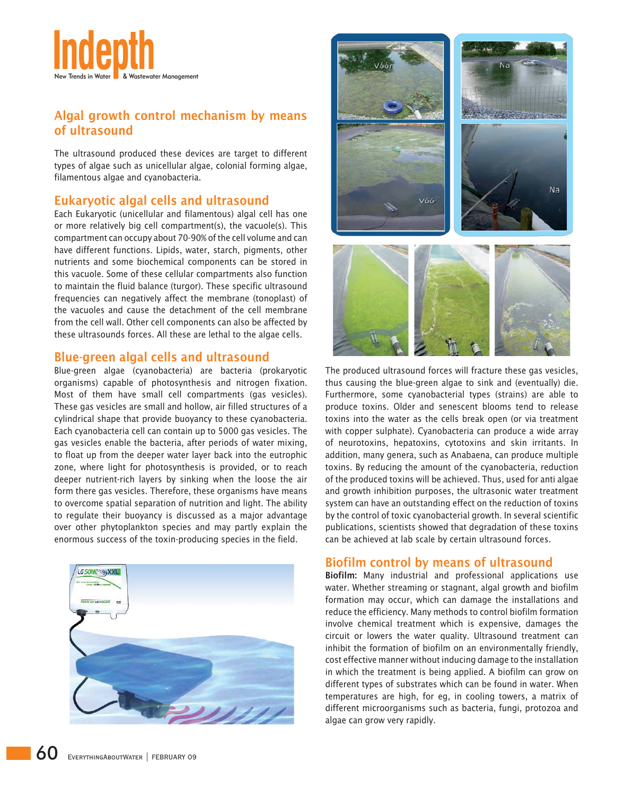

## Algal growth control mechanism by means of ultrasound

The ultrasound produced these devices are target to different types of algae such as unicellular algae, colonial forming algae, filamentous algae and cyanobacteria.

## Eukaryotic algal cells and ultrasound

Each Eukaryotic (unicellular and filamentous) algal cell has one or more relatively big cell compartment(s), the vacuole(s). This compartment can occupy about 70-90% of the cell volume and can have different functions. Lipids, water, starch, pigments, other nutrients and some biochemical components can be stored in this vacuole. Some of these cellular compartments also function to maintain the fluid balance (turgor). These specific ultrasound frequencies can negatively affect the membrane (tonoplast) of the vacuoles and cause the detachment of the cell membrane from the cell wall. Other cell components can also be affected by these ultrasounds forces. All these are lethal to the algae cells.

### Blue-green algal cells and ultrasound

Blue-green algae (cyanobacteria) are bacteria (prokaryotic organisms) capable of photosynthesis and nitrogen fixation. Most of them have small cell compartments (gas vesicles). These gas vesicles are small and hollow, air filled structures of a cylindrical shape that provide buoyancy to these cyanobacteria. Each cyanobacteria cell can contain up to 5000 gas vesicles. The gas vesicles enable the bacteria, after periods of water mixing, to float up from the deeper water layer back into the eutrophic zone, where light for photosynthesis is provided, or to reach deeper nutrient-rich layers by sinking when the loose the air form there gas vesicles. Therefore, these organisms have means to overcome spatial separation of nutrition and light. The ability to regulate their buoyancy is discussed as a major advantage over other phytoplankton species and may partly explain the enormous success of the toxin-producing species in the field.





The produced ultrasound forces will fracture these gas vesicles, thus causing the blue-green algae to sink and (eventually) die. Furthermore, some cyanobacterial types (strains) are able to produce toxins. Older and senescent blooms tend to release toxins into the water as the cells break open (or via treatment with copper sulphate). Cyanobacteria can produce a wide array of neurotoxins, hepatoxins, cytotoxins and skin irritants. In addition, many genera, such as Anabaena, can produce multiple toxins. By reducing the amount of the cyanobacteria, reduction of the produced toxins will be achieved. Thus, used for anti algae and growth inhibition purposes, the ultrasonic water treatment system can have an outstanding effect on the reduction of toxins by the control of toxic cyanobacterial growth. In several scientific publications, scientists showed that degradation of these toxins can be achieved at lab scale by certain ultrasound forces.

## Biofilm control by means of ultrasound

Biofilm: Many industrial and professional applications use water. Whether streaming or stagnant, algal growth and biofilm formation may occur, which can damage the installations and reduce the efficiency. Many methods to control biofilm formation involve chemical treatment which is expensive, damages the circuit or lowers the water quality. Ultrasound treatment can inhibit the formation of biofilm on an environmentally friendly, cost effective manner without inducing damage to the installation in which the treatment is being applied. A biofilm can grow on different types of substrates which can be found in water. When temperatures are high, for eg, in cooling towers, a matrix of different microorganisms such as bacteria, fungi, protozoa and algae can grow very rapidly.